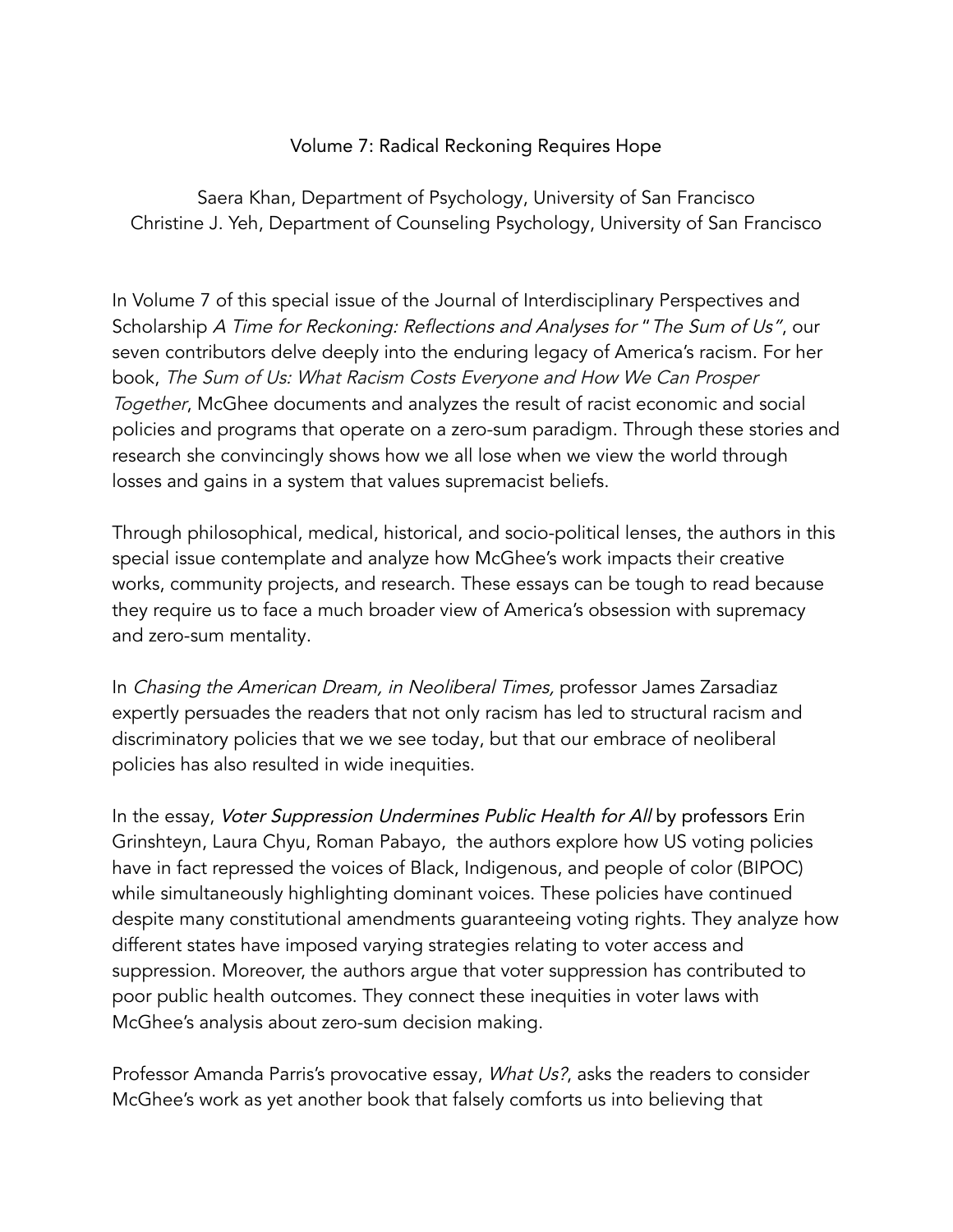## Volume 7: Radical Reckoning Requires Hope

Saera Khan, Department of Psychology, University of San Francisco Christine J. Yeh, Department of Counseling Psychology, University of San Francisco

In Volume 7 of this special issue of the Journal of Interdisciplinary Perspectives and Scholarship A Time for Reckoning: Reflections and Analyses for "The Sum of Us", our seven contributors delve deeply into the enduring legacy of America's racism. For her book, The Sum of Us: What Racism Costs Everyone and How We Can Prosper Together, McGhee documents and analyzes the result of racist economic and social policies and programs that operate on a zero-sum paradigm. Through these stories and research she convincingly shows how we all lose when we view the world through losses and gains in a system that values supremacist beliefs.

Through philosophical, medical, historical, and socio-political lenses, the authors in this special issue contemplate and analyze how McGhee's work impacts their creative works, community projects, and research. These essays can be tough to read because they require us to face a much broader view of America's obsession with supremacy and zero-sum mentality.

In Chasing the American Dream, in Neoliberal Times, professor James Zarsadiaz expertly persuades the readers that not only racism has led to structural racism and discriminatory policies that we we see today, but that our embrace of neoliberal policies has also resulted in wide inequities.

In the essay, Voter Suppression Undermines Public Health for All by professors Erin Grinshteyn, Laura Chyu, Roman Pabayo, the authors explore how US voting policies have in fact repressed the voices of Black, Indigenous, and people of color (BIPOC) while simultaneously highlighting dominant voices. These policies have continued despite many constitutional amendments guaranteeing voting rights. They analyze how different states have imposed varying strategies relating to voter access and suppression. Moreover, the authors argue that voter suppression has contributed to poor public health outcomes. They connect these inequities in voter laws with McGhee's analysis about zero-sum decision making.

Professor Amanda Parris's provocative essay, What Us?, asks the readers to consider McGhee's work as yet another book that falsely comforts us into believing that